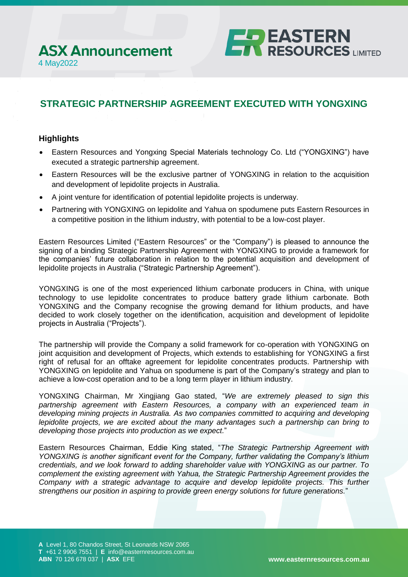# **STRATEGIC PARTNERSHIP AGREEMENT EXECUTED WITH YONGXING**

**ELP EASTERN<br>ET RESOURCES** LIMITED

## **Highlights**

- Eastern Resources and Yongxing Special Materials technology Co. Ltd ("YONGXING") have executed a strategic partnership agreement.
- Eastern Resources will be the exclusive partner of YONGXING in relation to the acquisition and development of lepidolite projects in Australia.
- A joint venture for identification of potential lepidolite projects is underway.
- Partnering with YONGXING on lepidolite and Yahua on spodumene puts Eastern Resources in a competitive position in the lithium industry, with potential to be a low-cost player.

Eastern Resources Limited ("Eastern Resources" or the "Company") is pleased to announce the signing of a binding Strategic Partnership Agreement with YONGXING to provide a framework for the companies' future collaboration in relation to the potential acquisition and development of lepidolite projects in Australia ("Strategic Partnership Agreement").

YONGXING is one of the most experienced lithium carbonate producers in China, with unique technology to use lepidolite concentrates to produce battery grade lithium carbonate. Both YONGXING and the Company recognise the growing demand for lithium products, and have decided to work closely together on the identification, acquisition and development of lepidolite projects in Australia ("Projects").

The partnership will provide the Company a solid framework for co-operation with YONGXING on joint acquisition and development of Projects, which extends to establishing for YONGXING a first right of refusal for an offtake agreement for lepidolite concentrates products. Partnership with YONGXING on lepidolite and Yahua on spodumene is part of the Company's strategy and plan to achieve a low-cost operation and to be a long term player in lithium industry.

YONGXING Chairman, Mr Xingjiang Gao stated, "*We are extremely pleased to sign this partnership agreement with Eastern Resources, a company with an experienced team in developing mining projects in Australia. As two companies committed to acquiring and developing lepidolite projects, we are excited about the many advantages such a partnership can bring to developing those projects into production as we expect.*"

Eastern Resources Chairman, Eddie King stated, "*The Strategic Partnership Agreement with YONGXING is another significant event for the Company, further validating the Company's lithium credentials, and we look forward to adding shareholder value with YONGXING as our partner. To complement the existing agreement with Yahua, the Strategic Partnership Agreement provides the Company with a strategic advantage to acquire and develop lepidolite projects. This further strengthens our position in aspiring to provide green energy solutions for future generations.*"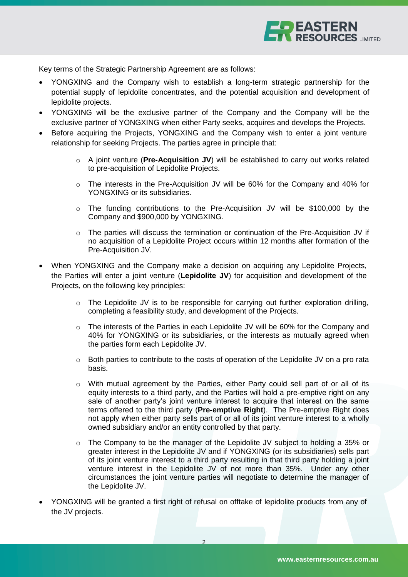

Key terms of the Strategic Partnership Agreement are as follows:

- YONGXING and the Company wish to establish a long-term strategic partnership for the potential supply of lepidolite concentrates, and the potential acquisition and development of lepidolite projects.
- YONGXING will be the exclusive partner of the Company and the Company will be the exclusive partner of YONGXING when either Party seeks, acquires and develops the Projects.
- Before acquiring the Projects, YONGXING and the Company wish to enter a joint venture relationship for seeking Projects. The parties agree in principle that:
	- o A joint venture (**Pre-Acquisition JV**) will be established to carry out works related to pre-acquisition of Lepidolite Projects.
	- o The interests in the Pre-Acquisition JV will be 60% for the Company and 40% for YONGXING or its subsidiaries.
	- o The funding contributions to the Pre-Acquisition JV will be \$100,000 by the Company and \$900,000 by YONGXING.
	- $\circ$  The parties will discuss the termination or continuation of the Pre-Acquisition JV if no acquisition of a Lepidolite Project occurs within 12 months after formation of the Pre-Acquisition JV.
- When YONGXING and the Company make a decision on acquiring any Lepidolite Projects, the Parties will enter a joint venture (**Lepidolite JV**) for acquisition and development of the Projects, on the following key principles:
	- $\circ$  The Lepidolite JV is to be responsible for carrying out further exploration drilling, completing a feasibility study, and development of the Projects.
	- o The interests of the Parties in each Lepidolite JV will be 60% for the Company and 40% for YONGXING or its subsidiaries, or the interests as mutually agreed when the parties form each Lepidolite JV.
	- $\circ$  Both parties to contribute to the costs of operation of the Lepidolite JV on a pro rata basis.
	- o With mutual agreement by the Parties, either Party could sell part of or all of its equity interests to a third party, and the Parties will hold a pre-emptive right on any sale of another party's joint venture interest to acquire that interest on the same terms offered to the third party (**Pre-emptive Right**). The Pre-emptive Right does not apply when either party sells part of or all of its joint venture interest to a wholly owned subsidiary and/or an entity controlled by that party.
	- o The Company to be the manager of the Lepidolite JV subject to holding a 35% or greater interest in the Lepidolite JV and if YONGXING (or its subsidiaries) sells part of its joint venture interest to a third party resulting in that third party holding a joint venture interest in the Lepidolite JV of not more than 35%. Under any other circumstances the joint venture parties will negotiate to determine the manager of the Lepidolite JV.
- YONGXING will be granted a first right of refusal on offtake of lepidolite products from any of the JV projects.

2